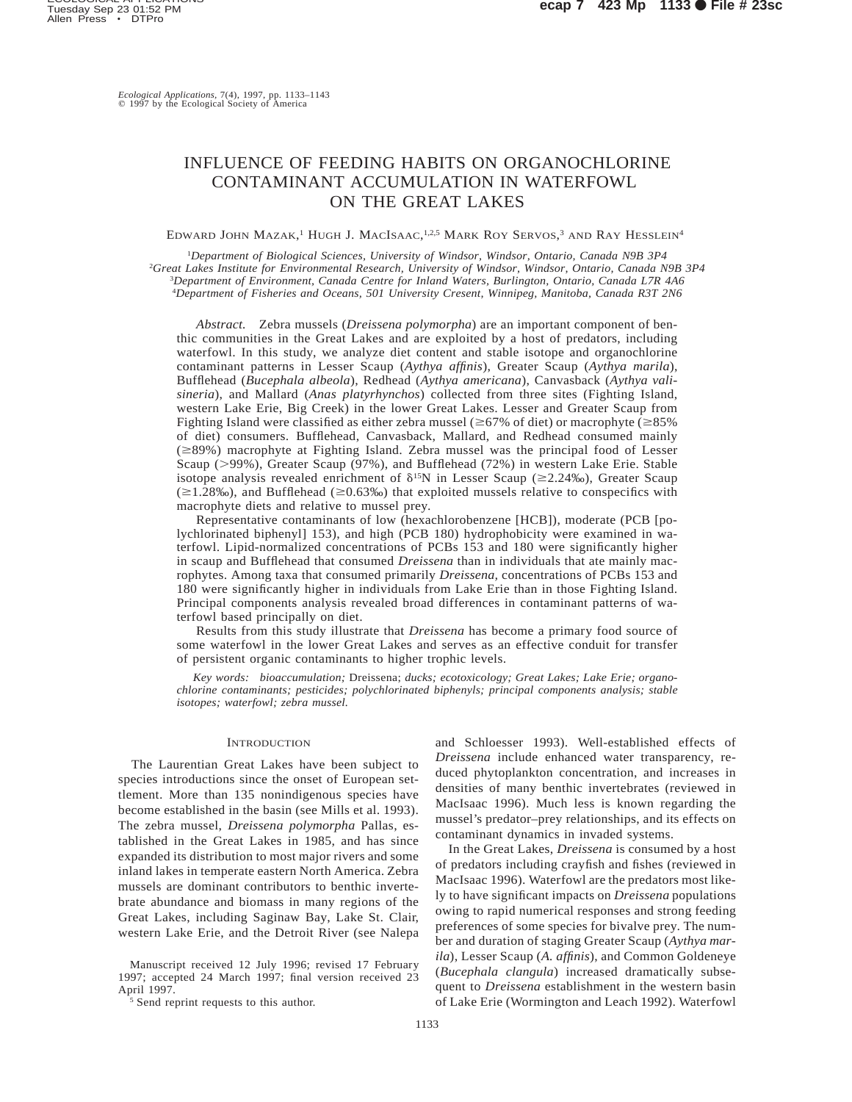# INFLUENCE OF FEEDING HABITS ON ORGANOCHLORINE CONTAMINANT ACCUMULATION IN WATERFOWL ON THE GREAT LAKES

## EDWARD JOHN MAZAK,<sup>i</sup> Hugh J. MacIsaac,<sup>1,2,5</sup> Mark Roy Servos,<sup>3</sup> and Ray Hesslein<sup>4</sup>

 *Department of Biological Sciences, University of Windsor, Windsor, Ontario, Canada N9B 3P4 Great Lakes Institute for Environmental Research, University of Windsor, Windsor, Ontario, Canada N9B 3P4 Department of Environment, Canada Centre for Inland Waters, Burlington, Ontario, Canada L7R 4A6 Department of Fisheries and Oceans, 501 University Cresent, Winnipeg, Manitoba, Canada R3T 2N6*

*Abstract.* Zebra mussels (*Dreissena polymorpha*) are an important component of benthic communities in the Great Lakes and are exploited by a host of predators, including waterfowl. In this study, we analyze diet content and stable isotope and organochlorine contaminant patterns in Lesser Scaup (*Aythya affinis*), Greater Scaup (*Aythya marila*), Bufflehead (*Bucephala albeola*), Redhead (*Aythya americana*), Canvasback (*Aythya valisineria*), and Mallard (*Anas platyrhynchos*) collected from three sites (Fighting Island, western Lake Erie, Big Creek) in the lower Great Lakes. Lesser and Greater Scaup from Fighting Island were classified as either zebra mussel ( $\geq 67\%$  of diet) or macrophyte ( $\geq 85\%$ of diet) consumers. Bufflehead, Canvasback, Mallard, and Redhead consumed mainly  $(\geq 89\%)$  macrophyte at Fighting Island. Zebra mussel was the principal food of Lesser Scaup  $(>99\%)$ , Greater Scaup  $(97\%)$ , and Bufflehead  $(72\%)$  in western Lake Erie. Stable isotope analysis revealed enrichment of  $\delta^{15}N$  in Lesser Scaup ( $\geq 2.24\%$ ), Greater Scaup  $(\geq 1.28\%)$ , and Bufflehead ( $\geq 0.63\%$ ) that exploited mussels relative to conspecifics with macrophyte diets and relative to mussel prey.

Representative contaminants of low (hexachlorobenzene [HCB]), moderate (PCB [polychlorinated biphenyl] 153), and high (PCB 180) hydrophobicity were examined in waterfowl. Lipid-normalized concentrations of PCBs 153 and 180 were significantly higher in scaup and Bufflehead that consumed *Dreissena* than in individuals that ate mainly macrophytes. Among taxa that consumed primarily *Dreissena,* concentrations of PCBs 153 and 180 were significantly higher in individuals from Lake Erie than in those Fighting Island. Principal components analysis revealed broad differences in contaminant patterns of waterfowl based principally on diet.

Results from this study illustrate that *Dreissena* has become a primary food source of some waterfowl in the lower Great Lakes and serves as an effective conduit for transfer of persistent organic contaminants to higher trophic levels.

*Key words: bioaccumulation;* Dreissena; *ducks; ecotoxicology; Great Lakes; Lake Erie; organochlorine contaminants; pesticides; polychlorinated biphenyls; principal components analysis; stable isotopes; waterfowl; zebra mussel.*

# **INTRODUCTION**

The Laurentian Great Lakes have been subject to species introductions since the onset of European settlement. More than 135 nonindigenous species have become established in the basin (see Mills et al. 1993). The zebra mussel, *Dreissena polymorpha* Pallas, established in the Great Lakes in 1985, and has since expanded its distribution to most major rivers and some inland lakes in temperate eastern North America. Zebra mussels are dominant contributors to benthic invertebrate abundance and biomass in many regions of the Great Lakes, including Saginaw Bay, Lake St. Clair, western Lake Erie, and the Detroit River (see Nalepa

Manuscript received 12 July 1996; revised 17 February 1997; accepted 24 March 1997; final version received 23 April 1997.

<sup>5</sup> Send reprint requests to this author.

and Schloesser 1993). Well-established effects of *Dreissena* include enhanced water transparency, reduced phytoplankton concentration, and increases in densities of many benthic invertebrates (reviewed in MacIsaac 1996). Much less is known regarding the mussel's predator–prey relationships, and its effects on contaminant dynamics in invaded systems.

In the Great Lakes, *Dreissena* is consumed by a host of predators including crayfish and fishes (reviewed in MacIsaac 1996). Waterfowl are the predators most likely to have significant impacts on *Dreissena* populations owing to rapid numerical responses and strong feeding preferences of some species for bivalve prey. The number and duration of staging Greater Scaup (*Aythya marila*), Lesser Scaup (*A. affinis*), and Common Goldeneye (*Bucephala clangula*) increased dramatically subsequent to *Dreissena* establishment in the western basin of Lake Erie (Wormington and Leach 1992). Waterfowl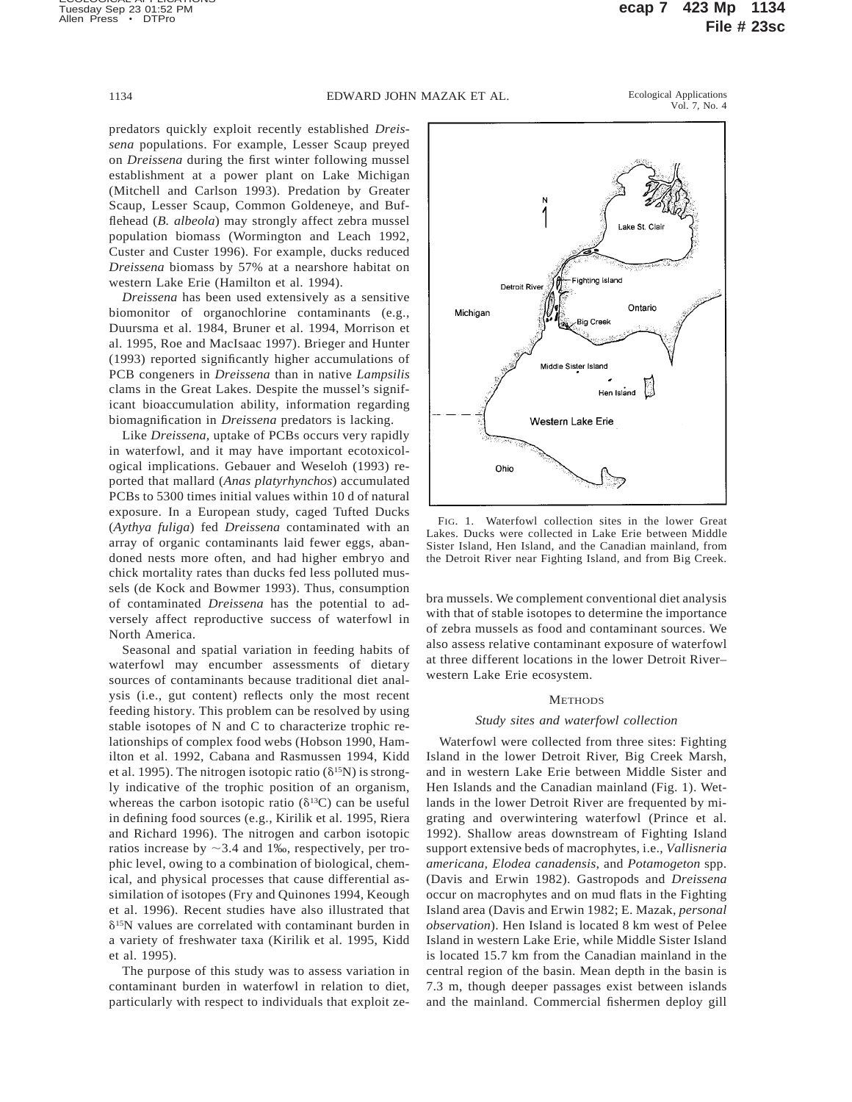predators quickly exploit recently established *Dreissena* populations. For example, Lesser Scaup preyed on *Dreissena* during the first winter following mussel establishment at a power plant on Lake Michigan (Mitchell and Carlson 1993). Predation by Greater Scaup, Lesser Scaup, Common Goldeneye, and Bufflehead (*B. albeola*) may strongly affect zebra mussel population biomass (Wormington and Leach 1992, Custer and Custer 1996). For example, ducks reduced *Dreissena* biomass by 57% at a nearshore habitat on western Lake Erie (Hamilton et al. 1994).

*Dreissena* has been used extensively as a sensitive biomonitor of organochlorine contaminants (e.g., Duursma et al. 1984, Bruner et al. 1994, Morrison et al. 1995, Roe and MacIsaac 1997). Brieger and Hunter (1993) reported significantly higher accumulations of PCB congeners in *Dreissena* than in native *Lampsilis* clams in the Great Lakes. Despite the mussel's significant bioaccumulation ability, information regarding biomagnification in *Dreissena* predators is lacking.

Like *Dreissena,* uptake of PCBs occurs very rapidly in waterfowl, and it may have important ecotoxicological implications. Gebauer and Weseloh (1993) reported that mallard (*Anas platyrhynchos*) accumulated PCBs to 5300 times initial values within 10 d of natural exposure. In a European study, caged Tufted Ducks (*Aythya fuliga*) fed *Dreissena* contaminated with an array of organic contaminants laid fewer eggs, abandoned nests more often, and had higher embryo and chick mortality rates than ducks fed less polluted mussels (de Kock and Bowmer 1993). Thus, consumption of contaminated *Dreissena* has the potential to adversely affect reproductive success of waterfowl in North America.

Seasonal and spatial variation in feeding habits of waterfowl may encumber assessments of dietary sources of contaminants because traditional diet analysis (i.e., gut content) reflects only the most recent feeding history. This problem can be resolved by using stable isotopes of N and C to characterize trophic relationships of complex food webs (Hobson 1990, Hamilton et al. 1992, Cabana and Rasmussen 1994, Kidd et al. 1995). The nitrogen isotopic ratio ( $\delta^{15}$ N) is strongly indicative of the trophic position of an organism, whereas the carbon isotopic ratio ( $\delta^{13}$ C) can be useful in defining food sources (e.g., Kirilik et al. 1995, Riera and Richard 1996). The nitrogen and carbon isotopic ratios increase by  $\sim$ 3.4 and 1‰, respectively, per trophic level, owing to a combination of biological, chemical, and physical processes that cause differential assimilation of isotopes (Fry and Quinones 1994, Keough et al. 1996). Recent studies have also illustrated that  $\delta$ <sup>15</sup>N values are correlated with contaminant burden in a variety of freshwater taxa (Kirilik et al. 1995, Kidd et al. 1995).

The purpose of this study was to assess variation in contaminant burden in waterfowl in relation to diet, particularly with respect to individuals that exploit ze-



FIG. 1. Waterfowl collection sites in the lower Great Lakes. Ducks were collected in Lake Erie between Middle Sister Island, Hen Island, and the Canadian mainland, from the Detroit River near Fighting Island, and from Big Creek.

bra mussels. We complement conventional diet analysis with that of stable isotopes to determine the importance of zebra mussels as food and contaminant sources. We also assess relative contaminant exposure of waterfowl at three different locations in the lower Detroit River– western Lake Erie ecosystem.

## **METHODS**

## *Study sites and waterfowl collection*

Waterfowl were collected from three sites: Fighting Island in the lower Detroit River, Big Creek Marsh, and in western Lake Erie between Middle Sister and Hen Islands and the Canadian mainland (Fig. 1). Wetlands in the lower Detroit River are frequented by migrating and overwintering waterfowl (Prince et al. 1992). Shallow areas downstream of Fighting Island support extensive beds of macrophytes, i.e., *Vallisneria americana, Elodea canadensis,* and *Potamogeton* spp. (Davis and Erwin 1982). Gastropods and *Dreissena* occur on macrophytes and on mud flats in the Fighting Island area (Davis and Erwin 1982; E. Mazak, *personal observation*). Hen Island is located 8 km west of Pelee Island in western Lake Erie, while Middle Sister Island is located 15.7 km from the Canadian mainland in the central region of the basin. Mean depth in the basin is 7.3 m, though deeper passages exist between islands and the mainland. Commercial fishermen deploy gill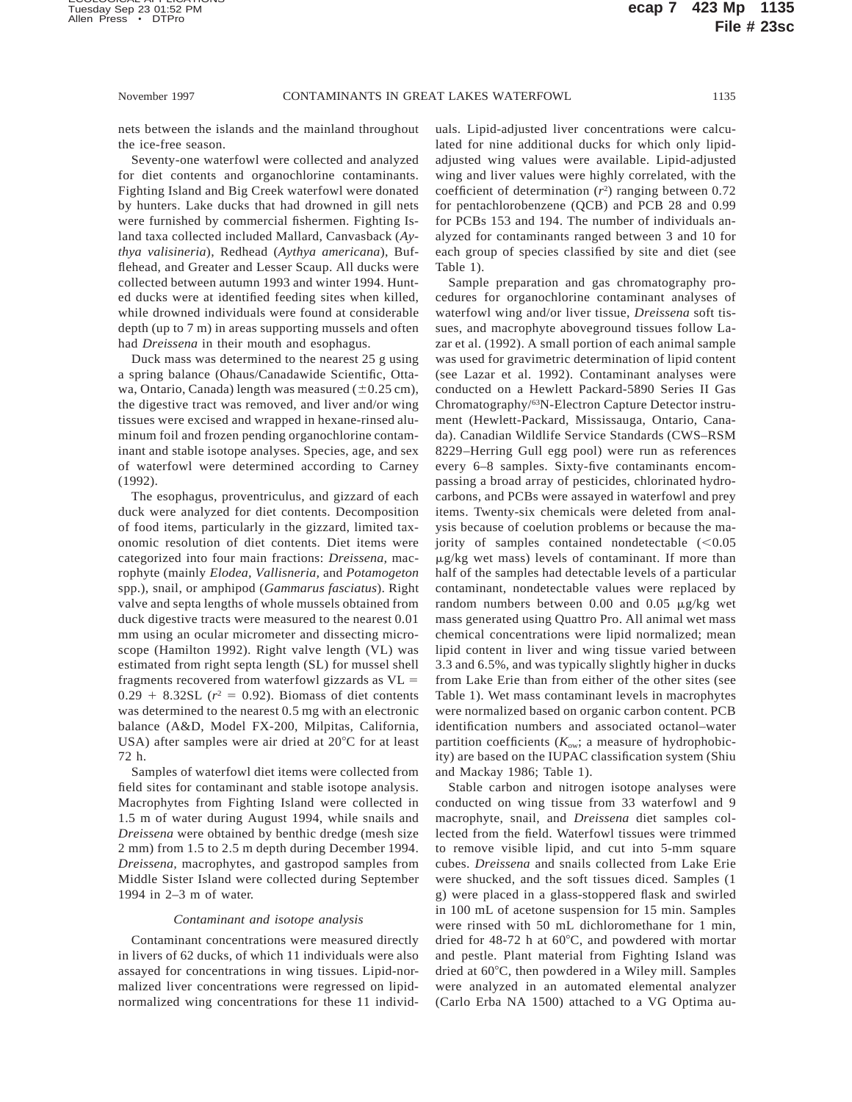nets between the islands and the mainland throughout the ice-free season.

Seventy-one waterfowl were collected and analyzed for diet contents and organochlorine contaminants. Fighting Island and Big Creek waterfowl were donated by hunters. Lake ducks that had drowned in gill nets were furnished by commercial fishermen. Fighting Island taxa collected included Mallard, Canvasback (*Aythya valisineria*), Redhead (*Aythya americana*), Bufflehead, and Greater and Lesser Scaup. All ducks were collected between autumn 1993 and winter 1994. Hunted ducks were at identified feeding sites when killed, while drowned individuals were found at considerable depth (up to 7 m) in areas supporting mussels and often had *Dreissena* in their mouth and esophagus.

Duck mass was determined to the nearest 25 g using a spring balance (Ohaus/Canadawide Scientific, Ottawa, Ontario, Canada) length was measured  $(\pm 0.25 \text{ cm})$ , the digestive tract was removed, and liver and/or wing tissues were excised and wrapped in hexane-rinsed aluminum foil and frozen pending organochlorine contaminant and stable isotope analyses. Species, age, and sex of waterfowl were determined according to Carney (1992).

The esophagus, proventriculus, and gizzard of each duck were analyzed for diet contents. Decomposition of food items, particularly in the gizzard, limited taxonomic resolution of diet contents. Diet items were categorized into four main fractions: *Dreissena,* macrophyte (mainly *Elodea, Vallisneria,* and *Potamogeton* spp.), snail, or amphipod (*Gammarus fasciatus*). Right valve and septa lengths of whole mussels obtained from duck digestive tracts were measured to the nearest 0.01 mm using an ocular micrometer and dissecting microscope (Hamilton 1992). Right valve length (VL) was estimated from right septa length (SL) for mussel shell fragments recovered from waterfowl gizzards as  $VL =$  $0.29 + 8.32$ SL ( $r^2 = 0.92$ ). Biomass of diet contents was determined to the nearest 0.5 mg with an electronic balance (A&D, Model FX-200, Milpitas, California, USA) after samples were air dried at  $20^{\circ}$ C for at least 72 h.

Samples of waterfowl diet items were collected from field sites for contaminant and stable isotope analysis. Macrophytes from Fighting Island were collected in 1.5 m of water during August 1994, while snails and *Dreissena* were obtained by benthic dredge (mesh size 2 mm) from 1.5 to 2.5 m depth during December 1994. *Dreissena,* macrophytes, and gastropod samples from Middle Sister Island were collected during September 1994 in 2–3 m of water.

#### *Contaminant and isotope analysis*

Contaminant concentrations were measured directly in livers of 62 ducks, of which 11 individuals were also assayed for concentrations in wing tissues. Lipid-normalized liver concentrations were regressed on lipidnormalized wing concentrations for these 11 individuals. Lipid-adjusted liver concentrations were calculated for nine additional ducks for which only lipidadjusted wing values were available. Lipid-adjusted wing and liver values were highly correlated, with the coefficient of determination  $(r^2)$  ranging between 0.72 for pentachlorobenzene (QCB) and PCB 28 and 0.99 for PCBs 153 and 194. The number of individuals analyzed for contaminants ranged between 3 and 10 for each group of species classified by site and diet (see Table 1).

Sample preparation and gas chromatography procedures for organochlorine contaminant analyses of waterfowl wing and/or liver tissue, *Dreissena* soft tissues, and macrophyte aboveground tissues follow Lazar et al. (1992). A small portion of each animal sample was used for gravimetric determination of lipid content (see Lazar et al. 1992). Contaminant analyses were conducted on a Hewlett Packard-5890 Series II Gas Chromatography/63N-Electron Capture Detector instrument (Hewlett-Packard, Mississauga, Ontario, Canada). Canadian Wildlife Service Standards (CWS–RSM 8229–Herring Gull egg pool) were run as references every 6–8 samples. Sixty-five contaminants encompassing a broad array of pesticides, chlorinated hydrocarbons, and PCBs were assayed in waterfowl and prey items. Twenty-six chemicals were deleted from analysis because of coelution problems or because the majority of samples contained nondetectable  $(<0.05$  $\mu$ g/kg wet mass) levels of contaminant. If more than half of the samples had detectable levels of a particular contaminant, nondetectable values were replaced by random numbers between 0.00 and 0.05  $\mu$ g/kg wet mass generated using Quattro Pro. All animal wet mass chemical concentrations were lipid normalized; mean lipid content in liver and wing tissue varied between 3.3 and 6.5%, and was typically slightly higher in ducks from Lake Erie than from either of the other sites (see Table 1). Wet mass contaminant levels in macrophytes were normalized based on organic carbon content. PCB identification numbers and associated octanol–water partition coefficients  $(K_{ow})$ ; a measure of hydrophobicity) are based on the IUPAC classification system (Shiu and Mackay 1986; Table 1).

Stable carbon and nitrogen isotope analyses were conducted on wing tissue from 33 waterfowl and 9 macrophyte, snail, and *Dreissena* diet samples collected from the field. Waterfowl tissues were trimmed to remove visible lipid, and cut into 5-mm square cubes. *Dreissena* and snails collected from Lake Erie were shucked, and the soft tissues diced. Samples (1 g) were placed in a glass-stoppered flask and swirled in 100 mL of acetone suspension for 15 min. Samples were rinsed with 50 mL dichloromethane for 1 min, dried for  $48-72$  h at  $60^{\circ}$ C, and powdered with mortar and pestle. Plant material from Fighting Island was dried at  $60^{\circ}$ C, then powdered in a Wiley mill. Samples were analyzed in an automated elemental analyzer (Carlo Erba NA 1500) attached to a VG Optima au-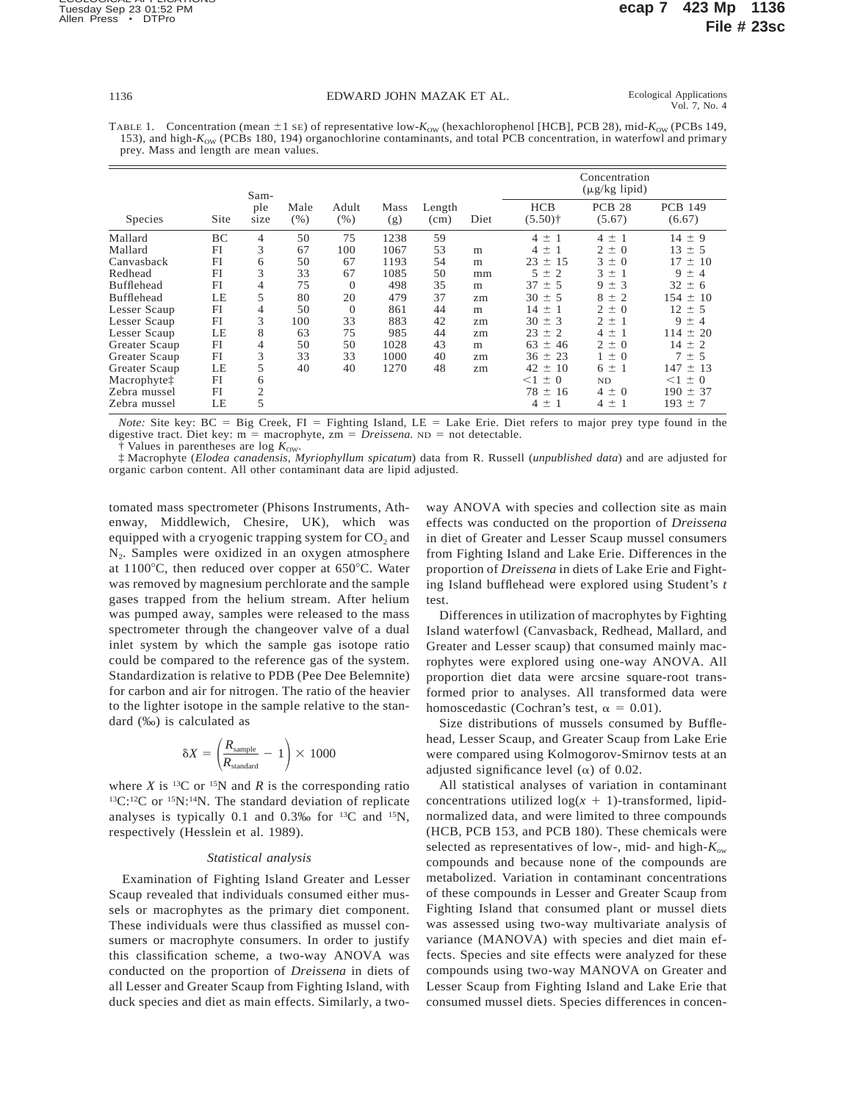TABLE 1. Concentration (mean ±1 SE) of representative low- $K_{\text{OW}}$  (hexachlorophenol [HCB], PCB 28), mid- $K_{\text{OW}}$  (PCBs 149, 153), and high-*K*<sub>OW</sub> (PCBs 180, 194) organochlorine contaminants, and total PCB concentration, in waterfowl and primary prey. Mass and length are mean values.

|                |      | Sam-           |              |               |             |                |      |                                     | Concentration<br>$(\mu g/kg$ lipid) |                          |
|----------------|------|----------------|--------------|---------------|-------------|----------------|------|-------------------------------------|-------------------------------------|--------------------------|
| <b>Species</b> | Site | ple<br>size    | Male<br>(% ) | Adult<br>(% ) | Mass<br>(g) | Length<br>(cm) | Diet | <b>HCB</b><br>$(5.50)$ <sup>+</sup> | <b>PCB 28</b><br>(5.67)             | <b>PCB 149</b><br>(6.67) |
| Mallard        | BC   | 4              | 50           | 75            | 1238        | 59             |      | $4 \pm 1$                           | $4 \pm 1$                           | $14 \pm 9$               |
| Mallard        | FI   | 3              | 67           | 100           | 1067        | 53             | m    | $4 \pm 1$                           | $2 \pm 0$                           | $13 \pm 5$               |
| Canvasback     | FI   | 6              | 50           | 67            | 1193        | 54             | m    | $23 \pm 15$                         | $3 \pm 0$                           | $17 \pm 10$              |
| Redhead        | FI   | 3              | 33           | 67            | 1085        | 50             | mm   | 5<br>$\pm$ 2                        | $3 \pm 1$                           | $9 \pm 4$                |
| Bufflehead     | FI   | 4              | 75           | $\Omega$      | 498         | 35             | m    | $37 \pm 5$                          | $9 \pm 3$                           | $32 \pm 6$               |
| Bufflehead     | LE   | 5              | 80           | 20            | 479         | 37             | zm   | $30 \pm 5$                          | $8 \pm 2$                           | $154 \pm 10$             |
| Lesser Scaup   | FI   | 4              | 50           | $\theta$      | 861         | 44             | m    | $14 \pm 1$                          | $2 \pm 0$                           | $12 \pm 5$               |
| Lesser Scaup   | FI   | 3              | 100          | 33            | 883         | 42             | zm   | $30 \pm 3$                          | $2 \pm 1$                           | $9 \pm 4$                |
| Lesser Scaup   | LE   | 8              | 63           | 75            | 985         | 44             | zm   | $23 \pm 2$                          | $4 \pm 1$                           | $114 \pm 20$             |
| Greater Scaup  | FI   | 4              | 50           | 50            | 1028        | 43             | m    | $63 \pm 46$                         | $2 \pm 0$                           | $14 \pm 2$               |
| Greater Scaup  | FI   | 3              | 33           | 33            | 1000        | 40             | zm   | $36 \pm 23$                         | $1 \pm 0$                           | $7 \pm 5$                |
| Greater Scaup  | LE   | 5              | 40           | 40            | 1270        | 48             | zm   | $42 \pm 10$                         | $6 \pm 1$                           | $147 \pm 13$             |
| Macrophyte‡    | FI   | 6              |              |               |             |                |      | $<1 \pm 0$                          | ND                                  | $<1 \pm 0$               |
| Zebra mussel   | FI   | $\overline{c}$ |              |               |             |                |      | $78 \pm 16$                         | $4 \pm 0$                           | $190 \pm 37$             |
| Zebra mussel   | LE   | 5              |              |               |             |                |      | $4 \pm 1$                           | $4 \pm 1$                           | $193 \pm 7$              |

*Note:* Site key:  $BC = Big Creek$ ,  $FI = Fishting Island$ ,  $LE = Lake Erie$ . Diet refers to major prey type found in the digestive tract. Diet key:  $m = macrophyte$ ,  $zm = Dreisson$ .  $ND = not detectable$ .

Values in parentheses are log  $K_{\text{OW}}$ .

‡ Macrophyte (*Elodea canadensis, Myriophyllum spicatum*) data from R. Russell (*unpublished data*) and are adjusted for organic carbon content. All other contaminant data are lipid adjusted.

tomated mass spectrometer (Phisons Instruments, Athenway, Middlewich, Chesire, UK), which was equipped with a cryogenic trapping system for  $CO<sub>2</sub>$  and  $N<sub>2</sub>$ . Samples were oxidized in an oxygen atmosphere at  $1100^{\circ}$ C, then reduced over copper at 650 $^{\circ}$ C. Water was removed by magnesium perchlorate and the sample gases trapped from the helium stream. After helium was pumped away, samples were released to the mass spectrometer through the changeover valve of a dual inlet system by which the sample gas isotope ratio could be compared to the reference gas of the system. Standardization is relative to PDB (Pee Dee Belemnite) for carbon and air for nitrogen. The ratio of the heavier to the lighter isotope in the sample relative to the standard (‰) is calculated as

$$
\delta X = \left(\frac{R_{\text{sample}}}{R_{\text{standard}}} - 1\right) \times 1000
$$

where *X* is <sup>13</sup>C or <sup>15</sup>N and *R* is the corresponding ratio 13C:12C or 15N:14N. The standard deviation of replicate analyses is typically 0.1 and 0.3‰ for 13C and 15N, respectively (Hesslein et al. 1989).

## *Statistical analysis*

Examination of Fighting Island Greater and Lesser Scaup revealed that individuals consumed either mussels or macrophytes as the primary diet component. These individuals were thus classified as mussel consumers or macrophyte consumers. In order to justify this classification scheme, a two-way ANOVA was conducted on the proportion of *Dreissena* in diets of all Lesser and Greater Scaup from Fighting Island, with duck species and diet as main effects. Similarly, a twoway ANOVA with species and collection site as main effects was conducted on the proportion of *Dreissena* in diet of Greater and Lesser Scaup mussel consumers from Fighting Island and Lake Erie. Differences in the proportion of *Dreissena* in diets of Lake Erie and Fighting Island bufflehead were explored using Student's *t* test.

Differences in utilization of macrophytes by Fighting Island waterfowl (Canvasback, Redhead, Mallard, and Greater and Lesser scaup) that consumed mainly macrophytes were explored using one-way ANOVA. All proportion diet data were arcsine square-root transformed prior to analyses. All transformed data were homoscedastic (Cochran's test,  $\alpha = 0.01$ ).

Size distributions of mussels consumed by Bufflehead, Lesser Scaup, and Greater Scaup from Lake Erie were compared using Kolmogorov-Smirnov tests at an adjusted significance level  $(\alpha)$  of 0.02.

All statistical analyses of variation in contaminant concentrations utilized  $log(x + 1)$ -transformed, lipidnormalized data, and were limited to three compounds (HCB, PCB 153, and PCB 180). These chemicals were selected as representatives of low-, mid- and high- $K_{\text{ow}}$ compounds and because none of the compounds are metabolized. Variation in contaminant concentrations of these compounds in Lesser and Greater Scaup from Fighting Island that consumed plant or mussel diets was assessed using two-way multivariate analysis of variance (MANOVA) with species and diet main effects. Species and site effects were analyzed for these compounds using two-way MANOVA on Greater and Lesser Scaup from Fighting Island and Lake Erie that consumed mussel diets. Species differences in concen-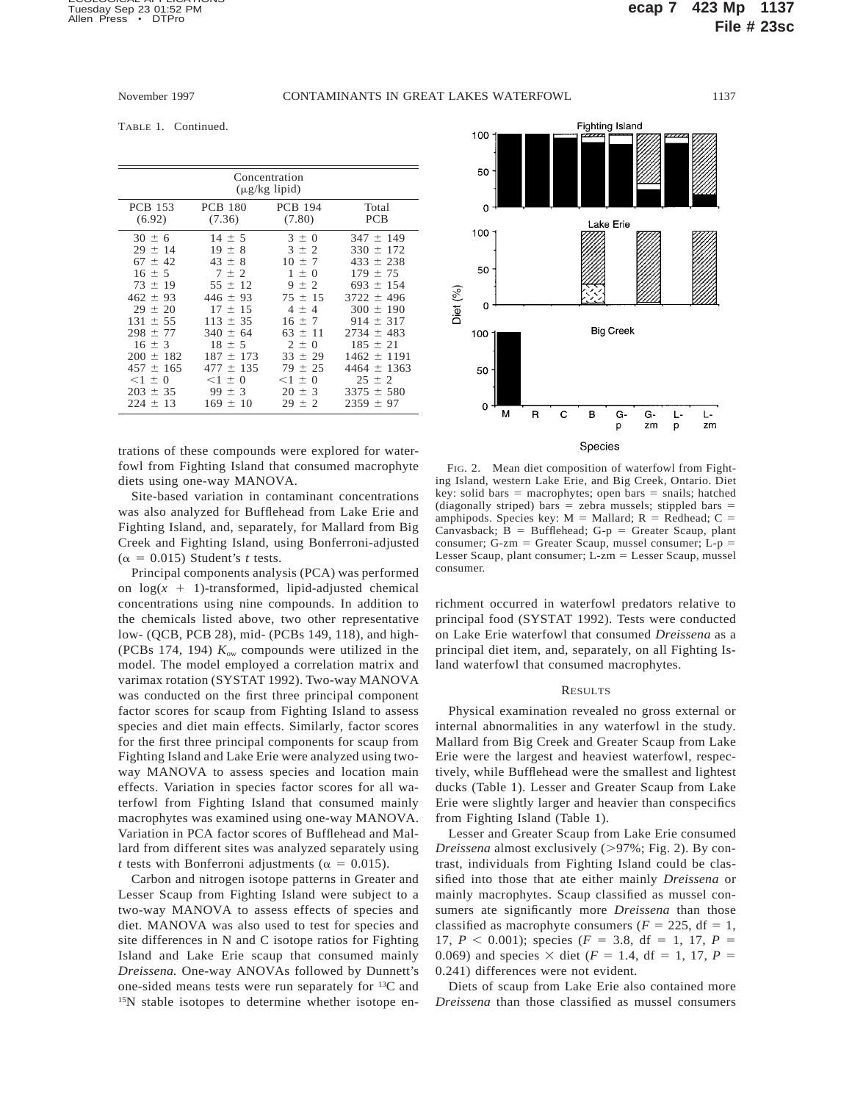TABLE 1. Continued.

| Concentration<br>$(\mu$ g/kg lipid)                                                                                                              |                                                                                                                                                    |                                                                                                                                    |                                                                                                                                                                        |  |  |  |  |  |
|--------------------------------------------------------------------------------------------------------------------------------------------------|----------------------------------------------------------------------------------------------------------------------------------------------------|------------------------------------------------------------------------------------------------------------------------------------|------------------------------------------------------------------------------------------------------------------------------------------------------------------------|--|--|--|--|--|
| <b>PCB 153</b><br>(6.92)                                                                                                                         | <b>PCB 180</b><br>(7.36)                                                                                                                           | <b>PCB 194</b><br>(7.80)                                                                                                           | Total<br><b>PCB</b>                                                                                                                                                    |  |  |  |  |  |
| $30 \pm 6$<br>$29 \pm 14$<br>$67 + 42$<br>$16 \pm 5$<br>$73 \pm 19$<br>$462 \pm 93$<br>$29 \pm 20$<br>$131 \pm 55$<br>$298 \pm 77$<br>$16 \pm 3$ | $14 \pm 5$<br>8<br>19<br>$\pm$<br>$43 \pm 8$<br>$7 \pm 2$<br>$55 \pm 12$<br>$446 \pm 93$<br>$17 + 15$<br>$113 \pm 35$<br>$340 \pm 64$<br>18<br>± 5 | $3 \pm 0$<br>$3 \pm 2$<br>$10 \pm 7$<br>$1 \pm 0$<br>$9 \pm 2$<br>$75 \pm 15$<br>$4 + 4$<br>$16 \pm 7$<br>$63 \pm 11$<br>$2 \pm 0$ | $347 \pm 149$<br>$330 \pm 172$<br>$433 \pm 238$<br>$179 \pm 75$<br>$693 \pm 154$<br>$3722 \pm 496$<br>$300 \pm 190$<br>$914 \pm 317$<br>$2734 \pm 483$<br>$185 \pm 21$ |  |  |  |  |  |
| $200 \pm 182$<br>$457 \pm 165$<br>$<1 \pm 0$<br>$203 \pm 35$<br>$224 \pm 13$                                                                     | 187<br>$+ 173$<br>$+ 135$<br>477<br>$<1 \pm 0$<br>99<br>± 3<br>$169 \pm 10$                                                                        | $33 \pm 29$<br>$79 + 25$<br>$<1 \pm 0$<br>$20 \pm 3$<br>$29 \pm 2$                                                                 | $1462 \pm 1191$<br>$4464 \pm 1363$<br>$25 \pm 2$<br>$3375 \pm 580$<br>$2359 \pm 97$                                                                                    |  |  |  |  |  |

trations of these compounds were explored for waterfowl from Fighting Island that consumed macrophyte diets using one-way MANOVA.

Site-based variation in contaminant concentrations was also analyzed for Bufflehead from Lake Erie and Fighting Island, and, separately, for Mallard from Big Creek and Fighting Island, using Bonferroni-adjusted ( $\alpha$  = 0.015) Student's *t* tests.

Principal components analysis (PCA) was performed on  $log(x + 1)$ -transformed, lipid-adjusted chemical concentrations using nine compounds. In addition to the chemicals listed above, two other representative low- (QCB, PCB 28), mid- (PCBs 149, 118), and high- (PCBs 174, 194)  $K_{ow}$  compounds were utilized in the model. The model employed a correlation matrix and varimax rotation (SYSTAT 1992). Two-way MANOVA was conducted on the first three principal component factor scores for scaup from Fighting Island to assess species and diet main effects. Similarly, factor scores for the first three principal components for scaup from Fighting Island and Lake Erie were analyzed using twoway MANOVA to assess species and location main effects. Variation in species factor scores for all waterfowl from Fighting Island that consumed mainly macrophytes was examined using one-way MANOVA. Variation in PCA factor scores of Bufflehead and Mallard from different sites was analyzed separately using *t* tests with Bonferroni adjustments ( $\alpha = 0.015$ ).

Carbon and nitrogen isotope patterns in Greater and Lesser Scaup from Fighting Island were subject to a two-way MANOVA to assess effects of species and diet. MANOVA was also used to test for species and site differences in N and C isotope ratios for Fighting Island and Lake Erie scaup that consumed mainly *Dreissena.* One-way ANOVAs followed by Dunnett's one-sided means tests were run separately for 13C and 15N stable isotopes to determine whether isotope en-



FIG. 2. Mean diet composition of waterfowl from Fighting Island, western Lake Erie, and Big Creek, Ontario. Diet key: solid bars = macrophytes; open bars = snails; hatched (diagonally striped) bars = zebra mussels; stippled bars = amphipods. Species key:  $M =$  Mallard; R = Redhead; C = Canvasback;  $B =$  Bufflehead; G-p = Greater Scaup, plant consumer; G-zm = Greater Scaup, mussel consumer; L- $p =$ Lesser Scaup, plant consumer;  $L-zm = Lesser$  Scaup, mussel consumer.

richment occurred in waterfowl predators relative to principal food (SYSTAT 1992). Tests were conducted on Lake Erie waterfowl that consumed *Dreissena* as a principal diet item, and, separately, on all Fighting Island waterfowl that consumed macrophytes.

### RESULTS

Physical examination revealed no gross external or internal abnormalities in any waterfowl in the study. Mallard from Big Creek and Greater Scaup from Lake Erie were the largest and heaviest waterfowl, respectively, while Bufflehead were the smallest and lightest ducks (Table 1). Lesser and Greater Scaup from Lake Erie were slightly larger and heavier than conspecifics from Fighting Island (Table 1).

Lesser and Greater Scaup from Lake Erie consumed *Dreissena* almost exclusively (>97%; Fig. 2). By contrast, individuals from Fighting Island could be classified into those that ate either mainly *Dreissena* or mainly macrophytes. Scaup classified as mussel consumers ate significantly more *Dreissena* than those classified as macrophyte consumers ( $F = 225$ , df = 1, 17,  $P < 0.001$ ; species ( $F = 3.8$ , df = 1, 17,  $P =$ 0.069) and species  $\times$  diet (*F* = 1.4, df = 1, 17, *P* = 0.241) differences were not evident.

Diets of scaup from Lake Erie also contained more *Dreissena* than those classified as mussel consumers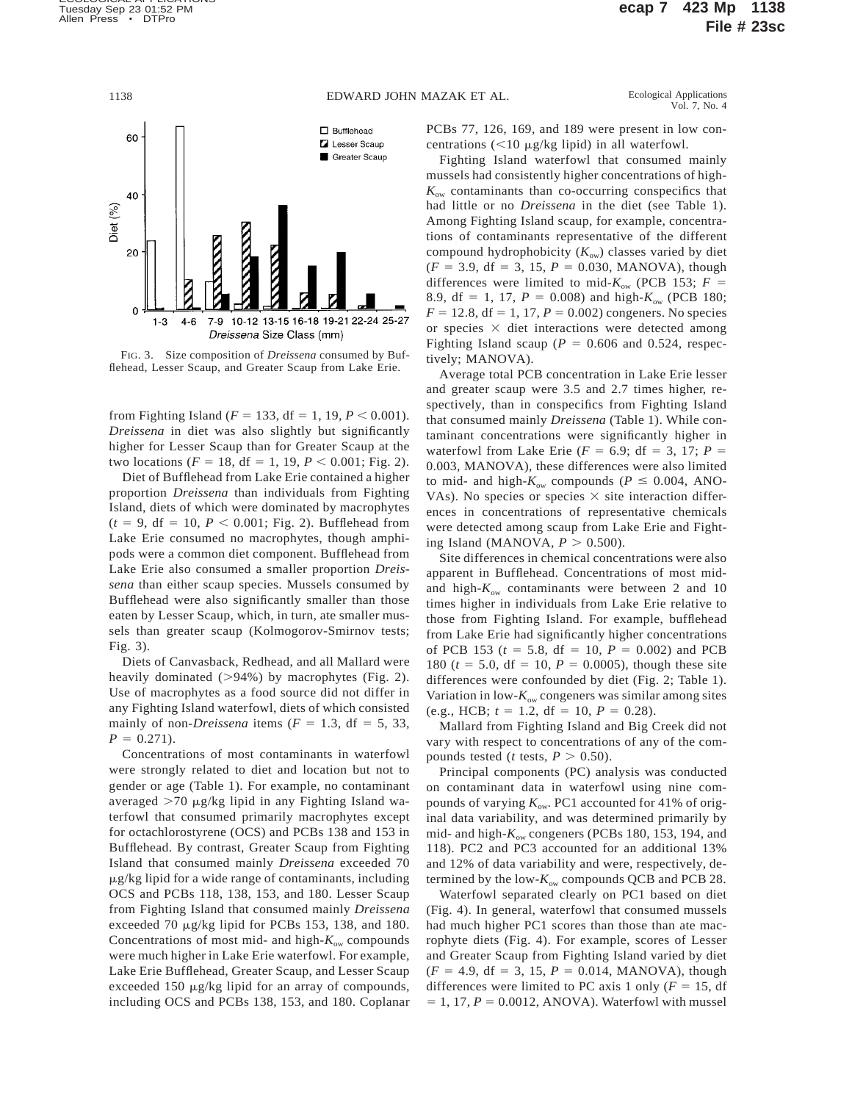

FIG. 3. Size composition of *Dreissena* consumed by Bufflehead, Lesser Scaup, and Greater Scaup from Lake Erie.

from Fighting Island ( $F = 133$ , df = 1, 19,  $P < 0.001$ ). *Dreissena* in diet was also slightly but significantly higher for Lesser Scaup than for Greater Scaup at the two locations ( $F = 18$ , df = 1, 19,  $P < 0.001$ ; Fig. 2).

Diet of Bufflehead from Lake Erie contained a higher proportion *Dreissena* than individuals from Fighting Island, diets of which were dominated by macrophytes  $(t = 9, df = 10, P < 0.001; Fig. 2)$ . Bufflehead from Lake Erie consumed no macrophytes, though amphipods were a common diet component. Bufflehead from Lake Erie also consumed a smaller proportion *Dreissena* than either scaup species. Mussels consumed by Bufflehead were also significantly smaller than those eaten by Lesser Scaup, which, in turn, ate smaller mussels than greater scaup (Kolmogorov-Smirnov tests; Fig. 3).

Diets of Canvasback, Redhead, and all Mallard were heavily dominated  $(>94\%)$  by macrophytes (Fig. 2). Use of macrophytes as a food source did not differ in any Fighting Island waterfowl, diets of which consisted mainly of non-*Dreissena* items ( $F = 1.3$ , df = 5, 33,  $P = 0.271$ .

Concentrations of most contaminants in waterfowl were strongly related to diet and location but not to gender or age (Table 1). For example, no contaminant averaged  $>70 \mu g/kg$  lipid in any Fighting Island waterfowl that consumed primarily macrophytes except for octachlorostyrene (OCS) and PCBs 138 and 153 in Bufflehead. By contrast, Greater Scaup from Fighting Island that consumed mainly *Dreissena* exceeded 70  $\mu$ g/kg lipid for a wide range of contaminants, including OCS and PCBs 118, 138, 153, and 180. Lesser Scaup from Fighting Island that consumed mainly *Dreissena* exceeded 70 μg/kg lipid for PCBs 153, 138, and 180. Concentrations of most mid- and high- $K_{ow}$  compounds were much higher in Lake Erie waterfowl. For example, Lake Erie Bufflehead, Greater Scaup, and Lesser Scaup exceeded 150  $\mu$ g/kg lipid for an array of compounds, including OCS and PCBs 138, 153, and 180. Coplanar

PCBs 77, 126, 169, and 189 were present in low concentrations  $(<$ 10  $\mu$ g/kg lipid) in all waterfowl.

Fighting Island waterfowl that consumed mainly mussels had consistently higher concentrations of high-*K*ow contaminants than co-occurring conspecifics that had little or no *Dreissena* in the diet (see Table 1). Among Fighting Island scaup, for example, concentrations of contaminants representative of the different compound hydrophobicity  $(K_{\text{ow}})$  classes varied by diet  $(F = 3.9, df = 3, 15, P = 0.030, MANOVA)$ , though differences were limited to mid- $K_{ow}$  (PCB 153;  $F =$ 8.9, df = 1, 17,  $P = 0.008$ ) and high- $K_{ow}$  (PCB 180;  $F = 12.8$ , df = 1, 17,  $P = 0.002$ ) congeners. No species or species  $\times$  diet interactions were detected among Fighting Island scaup ( $P = 0.606$  and 0.524, respectively; MANOVA).

Average total PCB concentration in Lake Erie lesser and greater scaup were 3.5 and 2.7 times higher, respectively, than in conspecifics from Fighting Island that consumed mainly *Dreissena* (Table 1). While contaminant concentrations were significantly higher in waterfowl from Lake Erie ( $F = 6.9$ ; df = 3, 17;  $P =$ 0.003, MANOVA), these differences were also limited to mid- and high- $K_{ow}$  compounds ( $P \le 0.004$ , ANO-VAs). No species or species  $\times$  site interaction differences in concentrations of representative chemicals were detected among scaup from Lake Erie and Fighting Island (MANOVA,  $P > 0.500$ ).

Site differences in chemical concentrations were also apparent in Bufflehead. Concentrations of most midand high- $K_{ow}$  contaminants were between 2 and 10 times higher in individuals from Lake Erie relative to those from Fighting Island. For example, bufflehead from Lake Erie had significantly higher concentrations of PCB 153 ( $t = 5.8$ , df = 10,  $P = 0.002$ ) and PCB 180 ( $t = 5.0$ , df = 10,  $P = 0.0005$ ), though these site differences were confounded by diet (Fig. 2; Table 1). Variation in low- $K_{ow}$  congeners was similar among sites (e.g., HCB;  $t = 1.2$ , df = 10,  $P = 0.28$ ).

Mallard from Fighting Island and Big Creek did not vary with respect to concentrations of any of the compounds tested (*t* tests,  $P > 0.50$ ).

Principal components (PC) analysis was conducted on contaminant data in waterfowl using nine compounds of varying  $K_{ow}$ . PC1 accounted for 41% of original data variability, and was determined primarily by mid- and high- $K_{ow}$  congeners (PCBs 180, 153, 194, and 118). PC2 and PC3 accounted for an additional 13% and 12% of data variability and were, respectively, determined by the low- $K_{ow}$  compounds QCB and PCB 28.

Waterfowl separated clearly on PC1 based on diet (Fig. 4). In general, waterfowl that consumed mussels had much higher PC1 scores than those than ate macrophyte diets (Fig. 4). For example, scores of Lesser and Greater Scaup from Fighting Island varied by diet  $(F = 4.9, df = 3, 15, P = 0.014, MANOVA)$ , though differences were limited to PC axis 1 only  $(F = 15$ , df  $= 1, 17, P = 0.0012, ANOVA$ . Waterfowl with mussel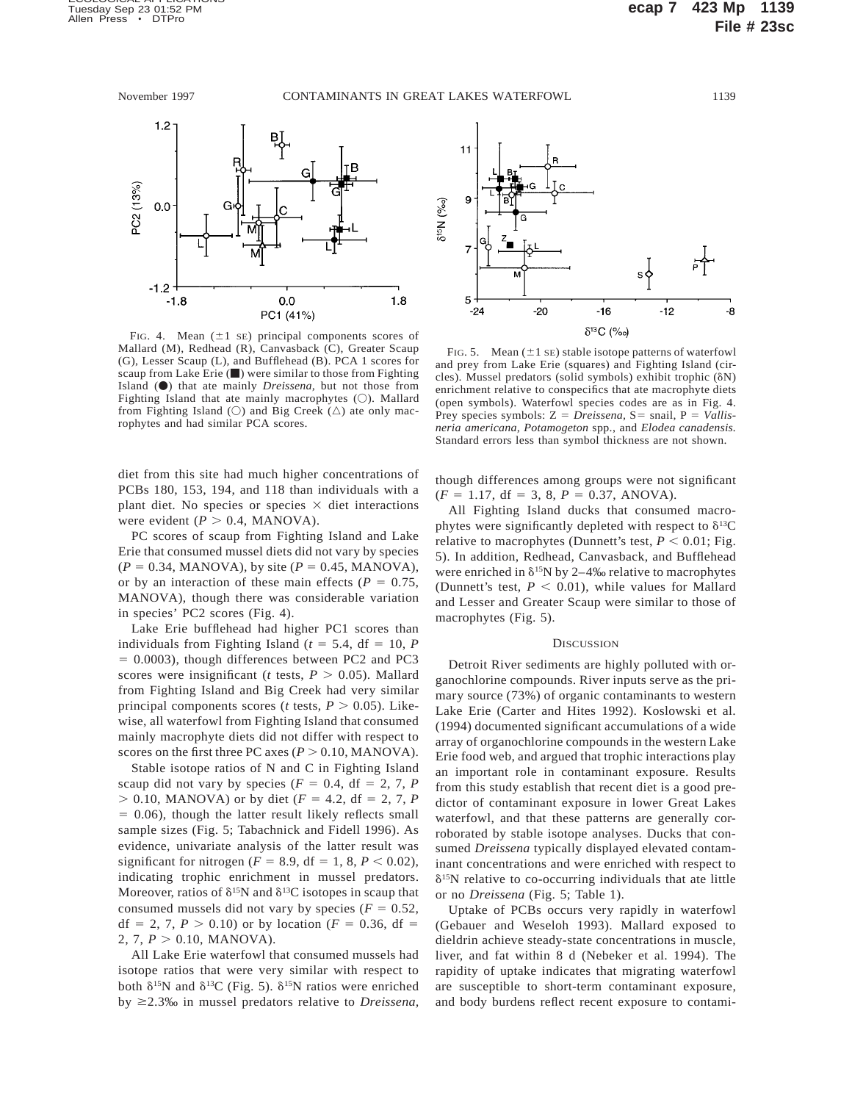

FIG. 4. Mean  $(\pm 1 \text{ SE})$  principal components scores of Mallard (M), Redhead (R), Canvasback (C), Greater Scaup (G), Lesser Scaup (L), and Bufflehead (B). PCA 1 scores for scaup from Lake Erie  $(\blacksquare)$  were similar to those from Fighting Island ( $\bullet$ ) that ate mainly *Dreissena*, but not those from Fighting Island that ate mainly macrophytes  $(O)$ . Mallard from Fighting Island ( $\circ$ ) and Big Creek ( $\triangle$ ) ate only macrophytes and had similar PCA scores.

diet from this site had much higher concentrations of PCBs 180, 153, 194, and 118 than individuals with a plant diet. No species or species  $\times$  diet interactions were evident  $(P > 0.4$ , MANOVA).

PC scores of scaup from Fighting Island and Lake Erie that consumed mussel diets did not vary by species  $(P = 0.34,$  MANOVA), by site ( $P = 0.45,$  MANOVA), or by an interaction of these main effects ( $P = 0.75$ , MANOVA), though there was considerable variation in species' PC2 scores (Fig. 4).

Lake Erie bufflehead had higher PC1 scores than individuals from Fighting Island ( $t = 5.4$ , df = 10, *P*  $= 0.0003$ ), though differences between PC2 and PC3 scores were insignificant (*t* tests,  $P > 0.05$ ). Mallard from Fighting Island and Big Creek had very similar principal components scores (*t* tests,  $P > 0.05$ ). Likewise, all waterfowl from Fighting Island that consumed mainly macrophyte diets did not differ with respect to scores on the first three PC axes ( $P > 0.10$ , MANOVA).

Stable isotope ratios of N and C in Fighting Island scaup did not vary by species ( $F = 0.4$ , df = 2, 7, *P*  $> 0.10$ , MANOVA) or by diet ( $F = 4.2$ , df = 2, 7, *P*  $= 0.06$ ), though the latter result likely reflects small sample sizes (Fig. 5; Tabachnick and Fidell 1996). As evidence, univariate analysis of the latter result was significant for nitrogen ( $F = 8.9$ , df = 1, 8,  $P < 0.02$ ), indicating trophic enrichment in mussel predators. Moreover, ratios of  $\delta^{15}N$  and  $\delta^{13}C$  isotopes in scaup that consumed mussels did not vary by species ( $F = 0.52$ , df = 2, 7,  $P > 0.10$ ) or by location ( $F = 0.36$ , df = 2, 7,  $P > 0.10$ , MANOVA).

All Lake Erie waterfowl that consumed mussels had isotope ratios that were very similar with respect to both  $\delta^{15}N$  and  $\delta^{13}C$  (Fig. 5).  $\delta^{15}N$  ratios were enriched by \$2.3‰ in mussel predators relative to *Dreissena,*



FIG. 5. Mean  $(\pm 1$  SE) stable isotope patterns of waterfowl and prey from Lake Erie (squares) and Fighting Island (circles). Mussel predators (solid symbols) exhibit trophic ( $\delta N$ ) enrichment relative to conspecifics that ate macrophyte diets (open symbols). Waterfowl species codes are as in Fig. 4. Prey species symbols:  $Z = Dreissena$ ,  $S = snail$ ,  $P = Vallis$ *neria americana, Potamogeton* spp., and *Elodea canadensis.* Standard errors less than symbol thickness are not shown.

though differences among groups were not significant  $(F = 1.17, df = 3, 8, P = 0.37, ANOVA).$ 

All Fighting Island ducks that consumed macrophytes were significantly depleted with respect to  $\delta^{13}C$ relative to macrophytes (Dunnett's test,  $P < 0.01$ ; Fig. 5). In addition, Redhead, Canvasback, and Bufflehead were enriched in  $\delta^{15}N$  by 2–4‰ relative to macrophytes (Dunnett's test,  $P < 0.01$ ), while values for Mallard and Lesser and Greater Scaup were similar to those of macrophytes (Fig. 5).

#### **DISCUSSION**

Detroit River sediments are highly polluted with organochlorine compounds. River inputs serve as the primary source (73%) of organic contaminants to western Lake Erie (Carter and Hites 1992). Koslowski et al. (1994) documented significant accumulations of a wide array of organochlorine compounds in the western Lake Erie food web, and argued that trophic interactions play an important role in contaminant exposure. Results from this study establish that recent diet is a good predictor of contaminant exposure in lower Great Lakes waterfowl, and that these patterns are generally corroborated by stable isotope analyses. Ducks that consumed *Dreissena* typically displayed elevated contaminant concentrations and were enriched with respect to  $\delta$ <sup>15</sup>N relative to co-occurring individuals that ate little or no *Dreissena* (Fig. 5; Table 1).

Uptake of PCBs occurs very rapidly in waterfowl (Gebauer and Weseloh 1993). Mallard exposed to dieldrin achieve steady-state concentrations in muscle, liver, and fat within 8 d (Nebeker et al. 1994). The rapidity of uptake indicates that migrating waterfowl are susceptible to short-term contaminant exposure, and body burdens reflect recent exposure to contami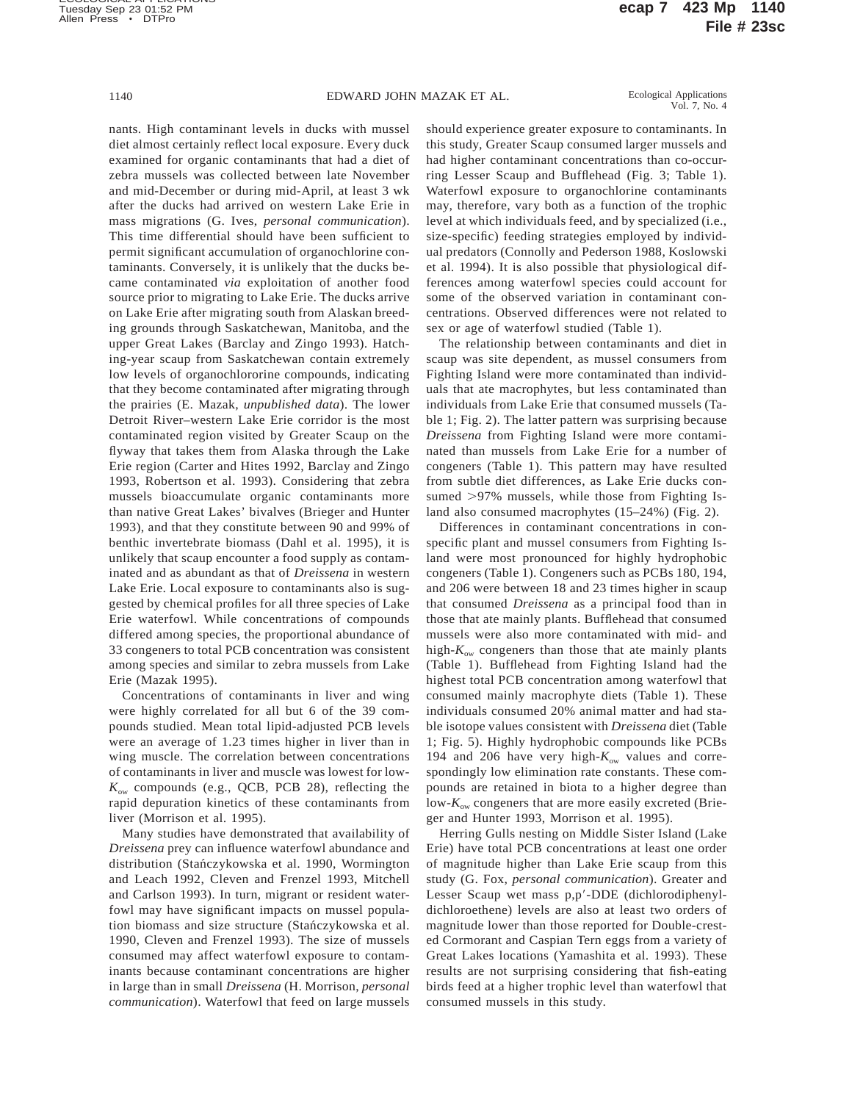nants. High contaminant levels in ducks with mussel diet almost certainly reflect local exposure. Every duck examined for organic contaminants that had a diet of zebra mussels was collected between late November and mid-December or during mid-April, at least 3 wk after the ducks had arrived on western Lake Erie in mass migrations (G. Ives, *personal communication*). This time differential should have been sufficient to permit significant accumulation of organochlorine contaminants. Conversely, it is unlikely that the ducks became contaminated *via* exploitation of another food source prior to migrating to Lake Erie. The ducks arrive on Lake Erie after migrating south from Alaskan breeding grounds through Saskatchewan, Manitoba, and the upper Great Lakes (Barclay and Zingo 1993). Hatching-year scaup from Saskatchewan contain extremely low levels of organochlororine compounds, indicating that they become contaminated after migrating through the prairies (E. Mazak, *unpublished data*). The lower Detroit River–western Lake Erie corridor is the most contaminated region visited by Greater Scaup on the flyway that takes them from Alaska through the Lake Erie region (Carter and Hites 1992, Barclay and Zingo 1993, Robertson et al. 1993). Considering that zebra mussels bioaccumulate organic contaminants more than native Great Lakes' bivalves (Brieger and Hunter 1993), and that they constitute between 90 and 99% of benthic invertebrate biomass (Dahl et al. 1995), it is unlikely that scaup encounter a food supply as contaminated and as abundant as that of *Dreissena* in western Lake Erie. Local exposure to contaminants also is suggested by chemical profiles for all three species of Lake Erie waterfowl. While concentrations of compounds differed among species, the proportional abundance of 33 congeners to total PCB concentration was consistent among species and similar to zebra mussels from Lake Erie (Mazak 1995).

Concentrations of contaminants in liver and wing were highly correlated for all but 6 of the 39 compounds studied. Mean total lipid-adjusted PCB levels were an average of 1.23 times higher in liver than in wing muscle. The correlation between concentrations of contaminants in liver and muscle was lowest for low-*K*ow compounds (e.g., QCB, PCB 28), reflecting the rapid depuration kinetics of these contaminants from liver (Morrison et al. 1995).

Many studies have demonstrated that availability of *Dreissena* prey can influence waterfowl abundance and distribution (Stan´czykowska et al. 1990, Wormington and Leach 1992, Cleven and Frenzel 1993, Mitchell and Carlson 1993). In turn, migrant or resident waterfowl may have significant impacts on mussel population biomass and size structure (Stan´czykowska et al. 1990, Cleven and Frenzel 1993). The size of mussels consumed may affect waterfowl exposure to contaminants because contaminant concentrations are higher in large than in small *Dreissena* (H. Morrison, *personal communication*). Waterfowl that feed on large mussels

should experience greater exposure to contaminants. In this study, Greater Scaup consumed larger mussels and had higher contaminant concentrations than co-occurring Lesser Scaup and Bufflehead (Fig. 3; Table 1). Waterfowl exposure to organochlorine contaminants may, therefore, vary both as a function of the trophic level at which individuals feed, and by specialized (i.e., size-specific) feeding strategies employed by individual predators (Connolly and Pederson 1988, Koslowski et al. 1994). It is also possible that physiological differences among waterfowl species could account for some of the observed variation in contaminant concentrations. Observed differences were not related to sex or age of waterfowl studied (Table 1).

The relationship between contaminants and diet in scaup was site dependent, as mussel consumers from Fighting Island were more contaminated than individuals that ate macrophytes, but less contaminated than individuals from Lake Erie that consumed mussels (Table 1; Fig. 2). The latter pattern was surprising because *Dreissena* from Fighting Island were more contaminated than mussels from Lake Erie for a number of congeners (Table 1). This pattern may have resulted from subtle diet differences, as Lake Erie ducks consumed  $>97\%$  mussels, while those from Fighting Island also consumed macrophytes (15–24%) (Fig. 2).

Differences in contaminant concentrations in conspecific plant and mussel consumers from Fighting Island were most pronounced for highly hydrophobic congeners (Table 1). Congeners such as PCBs 180, 194, and 206 were between 18 and 23 times higher in scaup that consumed *Dreissena* as a principal food than in those that ate mainly plants. Bufflehead that consumed mussels were also more contaminated with mid- and high- $K_{ow}$  congeners than those that ate mainly plants (Table 1). Bufflehead from Fighting Island had the highest total PCB concentration among waterfowl that consumed mainly macrophyte diets (Table 1). These individuals consumed 20% animal matter and had stable isotope values consistent with *Dreissena* diet (Table 1; Fig. 5). Highly hydrophobic compounds like PCBs 194 and 206 have very high- $K_{ow}$  values and correspondingly low elimination rate constants. These compounds are retained in biota to a higher degree than low- $K_{ow}$  congeners that are more easily excreted (Brieger and Hunter 1993, Morrison et al. 1995).

Herring Gulls nesting on Middle Sister Island (Lake Erie) have total PCB concentrations at least one order of magnitude higher than Lake Erie scaup from this study (G. Fox, *personal communication*). Greater and Lesser Scaup wet mass p,p'-DDE (dichlorodiphenyldichloroethene) levels are also at least two orders of magnitude lower than those reported for Double-crested Cormorant and Caspian Tern eggs from a variety of Great Lakes locations (Yamashita et al. 1993). These results are not surprising considering that fish-eating birds feed at a higher trophic level than waterfowl that consumed mussels in this study.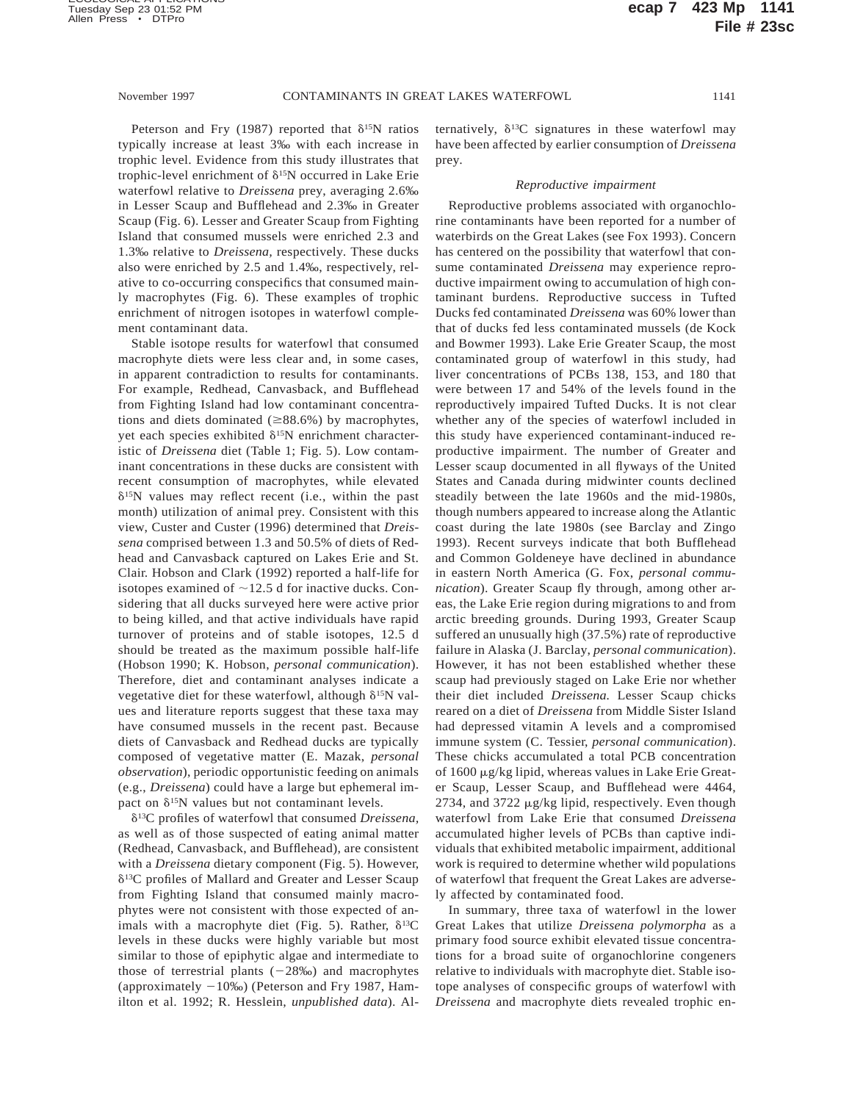Peterson and Fry (1987) reported that  $\delta^{15}N$  ratios typically increase at least 3‰ with each increase in trophic level. Evidence from this study illustrates that trophic-level enrichment of  $\delta^{15}N$  occurred in Lake Erie waterfowl relative to *Dreissena* prey, averaging 2.6‰ in Lesser Scaup and Bufflehead and 2.3‰ in Greater Scaup (Fig. 6). Lesser and Greater Scaup from Fighting Island that consumed mussels were enriched 2.3 and 1.3‰ relative to *Dreissena,* respectively. These ducks also were enriched by 2.5 and 1.4‰, respectively, relative to co-occurring conspecifics that consumed mainly macrophytes (Fig. 6). These examples of trophic enrichment of nitrogen isotopes in waterfowl complement contaminant data.

Stable isotope results for waterfowl that consumed macrophyte diets were less clear and, in some cases, in apparent contradiction to results for contaminants. For example, Redhead, Canvasback, and Bufflehead from Fighting Island had low contaminant concentrations and diets dominated  $(\geq 88.6\%)$  by macrophytes, yet each species exhibited  $\delta^{15}N$  enrichment characteristic of *Dreissena* diet (Table 1; Fig. 5). Low contaminant concentrations in these ducks are consistent with recent consumption of macrophytes, while elevated  $\delta^{15}$ N values may reflect recent (i.e., within the past month) utilization of animal prey. Consistent with this view, Custer and Custer (1996) determined that *Dreissena* comprised between 1.3 and 50.5% of diets of Redhead and Canvasback captured on Lakes Erie and St. Clair. Hobson and Clark (1992) reported a half-life for isotopes examined of  $\sim$ 12.5 d for inactive ducks. Considering that all ducks surveyed here were active prior to being killed, and that active individuals have rapid turnover of proteins and of stable isotopes, 12.5 d should be treated as the maximum possible half-life (Hobson 1990; K. Hobson, *personal communication*). Therefore, diet and contaminant analyses indicate a vegetative diet for these waterfowl, although  $\delta^{15}N$  values and literature reports suggest that these taxa may have consumed mussels in the recent past. Because diets of Canvasback and Redhead ducks are typically composed of vegetative matter (E. Mazak, *personal observation*), periodic opportunistic feeding on animals (e.g., *Dreissena*) could have a large but ephemeral impact on  $\delta^{15}N$  values but not contaminant levels.

d13C profiles of waterfowl that consumed *Dreissena,* as well as of those suspected of eating animal matter (Redhead, Canvasback, and Bufflehead), are consistent with a *Dreissena* dietary component (Fig. 5). However, d13C profiles of Mallard and Greater and Lesser Scaup from Fighting Island that consumed mainly macrophytes were not consistent with those expected of animals with a macrophyte diet (Fig. 5). Rather,  $\delta^{13}C$ levels in these ducks were highly variable but most similar to those of epiphytic algae and intermediate to those of terrestrial plants  $(-28\%)$  and macrophytes (approximately  $-10\%$ ) (Peterson and Fry 1987, Hamilton et al. 1992; R. Hesslein, *unpublished data*). Alternatively,  $\delta^{13}C$  signatures in these waterfowl may have been affected by earlier consumption of *Dreissena* prey.

## *Reproductive impairment*

Reproductive problems associated with organochlorine contaminants have been reported for a number of waterbirds on the Great Lakes (see Fox 1993). Concern has centered on the possibility that waterfowl that consume contaminated *Dreissena* may experience reproductive impairment owing to accumulation of high contaminant burdens. Reproductive success in Tufted Ducks fed contaminated *Dreissena* was 60% lower than that of ducks fed less contaminated mussels (de Kock and Bowmer 1993). Lake Erie Greater Scaup, the most contaminated group of waterfowl in this study, had liver concentrations of PCBs 138, 153, and 180 that were between 17 and 54% of the levels found in the reproductively impaired Tufted Ducks. It is not clear whether any of the species of waterfowl included in this study have experienced contaminant-induced reproductive impairment. The number of Greater and Lesser scaup documented in all flyways of the United States and Canada during midwinter counts declined steadily between the late 1960s and the mid-1980s, though numbers appeared to increase along the Atlantic coast during the late 1980s (see Barclay and Zingo 1993). Recent surveys indicate that both Bufflehead and Common Goldeneye have declined in abundance in eastern North America (G. Fox, *personal communication*). Greater Scaup fly through, among other areas, the Lake Erie region during migrations to and from arctic breeding grounds. During 1993, Greater Scaup suffered an unusually high (37.5%) rate of reproductive failure in Alaska (J. Barclay, *personal communication*). However, it has not been established whether these scaup had previously staged on Lake Erie nor whether their diet included *Dreissena.* Lesser Scaup chicks reared on a diet of *Dreissena* from Middle Sister Island had depressed vitamin A levels and a compromised immune system (C. Tessier, *personal communication*). These chicks accumulated a total PCB concentration of 1600 mg/kg lipid, whereas values in Lake Erie Greater Scaup, Lesser Scaup, and Bufflehead were 4464, 2734, and 3722  $\mu$ g/kg lipid, respectively. Even though waterfowl from Lake Erie that consumed *Dreissena* accumulated higher levels of PCBs than captive individuals that exhibited metabolic impairment, additional work is required to determine whether wild populations of waterfowl that frequent the Great Lakes are adversely affected by contaminated food.

In summary, three taxa of waterfowl in the lower Great Lakes that utilize *Dreissena polymorpha* as a primary food source exhibit elevated tissue concentrations for a broad suite of organochlorine congeners relative to individuals with macrophyte diet. Stable isotope analyses of conspecific groups of waterfowl with *Dreissena* and macrophyte diets revealed trophic en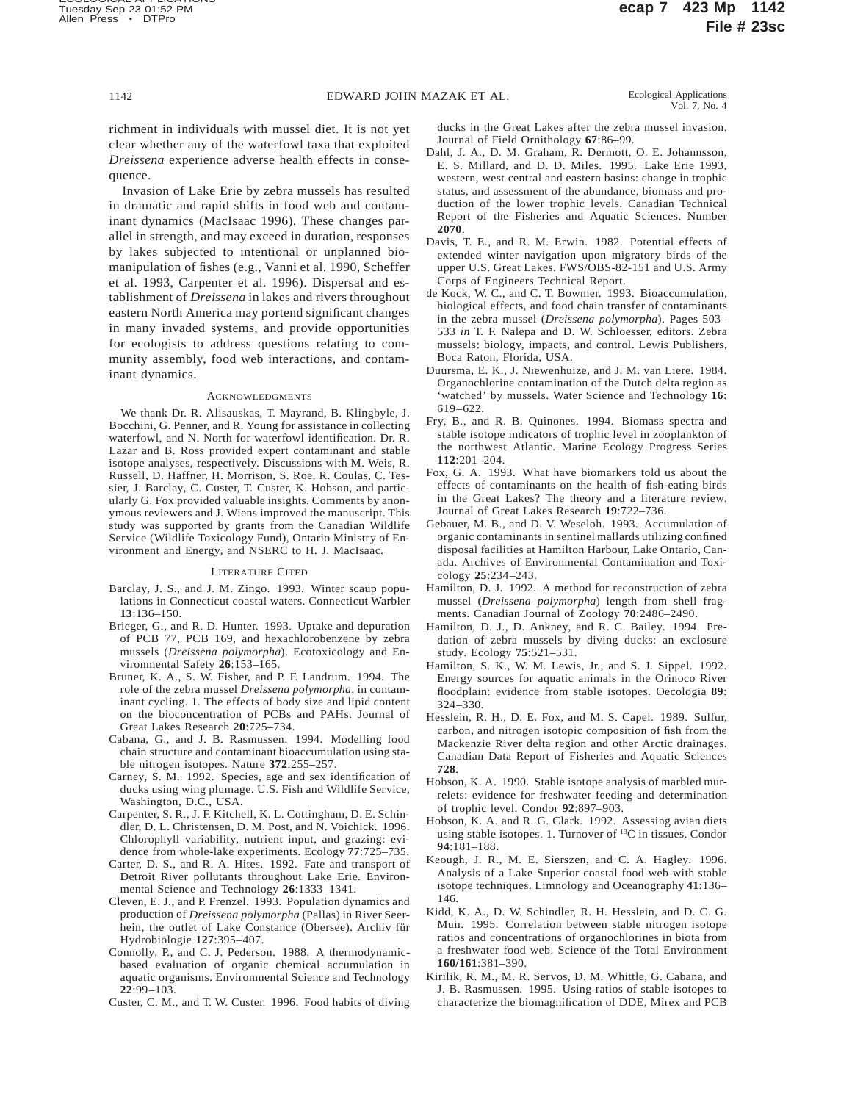richment in individuals with mussel diet. It is not yet clear whether any of the waterfowl taxa that exploited *Dreissena* experience adverse health effects in consequence.

Invasion of Lake Erie by zebra mussels has resulted in dramatic and rapid shifts in food web and contaminant dynamics (MacIsaac 1996). These changes parallel in strength, and may exceed in duration, responses by lakes subjected to intentional or unplanned biomanipulation of fishes (e.g., Vanni et al. 1990, Scheffer et al. 1993, Carpenter et al. 1996). Dispersal and establishment of *Dreissena* in lakes and rivers throughout eastern North America may portend significant changes in many invaded systems, and provide opportunities for ecologists to address questions relating to community assembly, food web interactions, and contaminant dynamics.

#### **ACKNOWLEDGMENTS**

We thank Dr. R. Alisauskas, T. Mayrand, B. Klingbyle, J. Bocchini, G. Penner, and R. Young for assistance in collecting waterfowl, and N. North for waterfowl identification. Dr. R. Lazar and B. Ross provided expert contaminant and stable isotope analyses, respectively. Discussions with M. Weis, R. Russell, D. Haffner, H. Morrison, S. Roe, R. Coulas, C. Tessier, J. Barclay, C. Custer, T. Custer, K. Hobson, and particularly G. Fox provided valuable insights. Comments by anonymous reviewers and J. Wiens improved the manuscript. This study was supported by grants from the Canadian Wildlife Service (Wildlife Toxicology Fund), Ontario Ministry of Environment and Energy, and NSERC to H. J. MacIsaac.

#### LITERATURE CITED

- Barclay, J. S., and J. M. Zingo. 1993. Winter scaup populations in Connecticut coastal waters. Connecticut Warbler **13**:136–150.
- Brieger, G., and R. D. Hunter. 1993. Uptake and depuration of PCB 77, PCB 169, and hexachlorobenzene by zebra mussels (*Dreissena polymorpha*). Ecotoxicology and Environmental Safety **26**:153–165.
- Bruner, K. A., S. W. Fisher, and P. F. Landrum. 1994. The role of the zebra mussel *Dreissena polymorpha,* in contaminant cycling. 1. The effects of body size and lipid content on the bioconcentration of PCBs and PAHs. Journal of Great Lakes Research **20**:725–734.
- Cabana, G., and J. B. Rasmussen. 1994. Modelling food chain structure and contaminant bioaccumulation using stable nitrogen isotopes. Nature **372**:255–257.
- Carney, S. M. 1992. Species, age and sex identification of ducks using wing plumage. U.S. Fish and Wildlife Service, Washington, D.C., USA.
- Carpenter, S. R., J. F. Kitchell, K. L. Cottingham, D. E. Schindler, D. L. Christensen, D. M. Post, and N. Voichick. 1996. Chlorophyll variability, nutrient input, and grazing: evidence from whole-lake experiments. Ecology **77**:725–735.
- Carter, D. S., and R. A. Hites. 1992. Fate and transport of Detroit River pollutants throughout Lake Erie. Environmental Science and Technology **26**:1333–1341.
- Cleven, E. J., and P. Frenzel. 1993. Population dynamics and production of *Dreissena polymorpha* (Pallas) in River Seerhein, the outlet of Lake Constance (Obersee). Archiv für Hydrobiologie **127**:395–407.
- Connolly, P., and C. J. Pederson. 1988. A thermodynamicbased evaluation of organic chemical accumulation in aquatic organisms. Environmental Science and Technology **22**:99–103.
- Custer, C. M., and T. W. Custer. 1996. Food habits of diving

ducks in the Great Lakes after the zebra mussel invasion. Journal of Field Ornithology **67**:86–99.

- Dahl, J. A., D. M. Graham, R. Dermott, O. E. Johannsson, E. S. Millard, and D. D. Miles. 1995. Lake Erie 1993, western, west central and eastern basins: change in trophic status, and assessment of the abundance, biomass and production of the lower trophic levels. Canadian Technical Report of the Fisheries and Aquatic Sciences. Number **2070**.
- Davis, T. E., and R. M. Erwin. 1982. Potential effects of extended winter navigation upon migratory birds of the upper U.S. Great Lakes. FWS/OBS-82-151 and U.S. Army Corps of Engineers Technical Report.
- de Kock, W. C., and C. T. Bowmer. 1993. Bioaccumulation, biological effects, and food chain transfer of contaminants in the zebra mussel (*Dreissena polymorpha*). Pages 503– 533 *in* T. F. Nalepa and D. W. Schloesser, editors. Zebra mussels: biology, impacts, and control. Lewis Publishers, Boca Raton, Florida, USA.
- Duursma, E. K., J. Niewenhuize, and J. M. van Liere. 1984. Organochlorine contamination of the Dutch delta region as 'watched' by mussels. Water Science and Technology **16**: 619–622.
- Fry, B., and R. B. Quinones. 1994. Biomass spectra and stable isotope indicators of trophic level in zooplankton of the northwest Atlantic. Marine Ecology Progress Series **112**:201–204.
- Fox, G. A. 1993. What have biomarkers told us about the effects of contaminants on the health of fish-eating birds in the Great Lakes? The theory and a literature review. Journal of Great Lakes Research **19**:722–736.
- Gebauer, M. B., and D. V. Weseloh. 1993. Accumulation of organic contaminants in sentinel mallards utilizing confined disposal facilities at Hamilton Harbour, Lake Ontario, Canada. Archives of Environmental Contamination and Toxicology **25**:234–243.
- Hamilton, D. J. 1992. A method for reconstruction of zebra mussel (*Dreissena polymorpha*) length from shell fragments. Canadian Journal of Zoology **70**:2486–2490.
- Hamilton, D. J., D. Ankney, and R. C. Bailey. 1994. Predation of zebra mussels by diving ducks: an exclosure study. Ecology **75**:521–531.
- Hamilton, S. K., W. M. Lewis, Jr., and S. J. Sippel. 1992. Energy sources for aquatic animals in the Orinoco River floodplain: evidence from stable isotopes. Oecologia **89**: 324–330.
- Hesslein, R. H., D. E. Fox, and M. S. Capel. 1989. Sulfur, carbon, and nitrogen isotopic composition of fish from the Mackenzie River delta region and other Arctic drainages. Canadian Data Report of Fisheries and Aquatic Sciences **728**.
- Hobson, K. A. 1990. Stable isotope analysis of marbled murrelets: evidence for freshwater feeding and determination of trophic level. Condor **92**:897–903.
- Hobson, K. A. and R. G. Clark. 1992. Assessing avian diets using stable isotopes. 1. Turnover of 13C in tissues. Condor **94**:181–188.
- Keough, J. R., M. E. Sierszen, and C. A. Hagley. 1996. Analysis of a Lake Superior coastal food web with stable isotope techniques. Limnology and Oceanography **41**:136– 146.
- Kidd, K. A., D. W. Schindler, R. H. Hesslein, and D. C. G. Muir. 1995. Correlation between stable nitrogen isotope ratios and concentrations of organochlorines in biota from a freshwater food web. Science of the Total Environment **160/161**:381–390.
- Kirilik, R. M., M. R. Servos, D. M. Whittle, G. Cabana, and J. B. Rasmussen. 1995. Using ratios of stable isotopes to characterize the biomagnification of DDE, Mirex and PCB